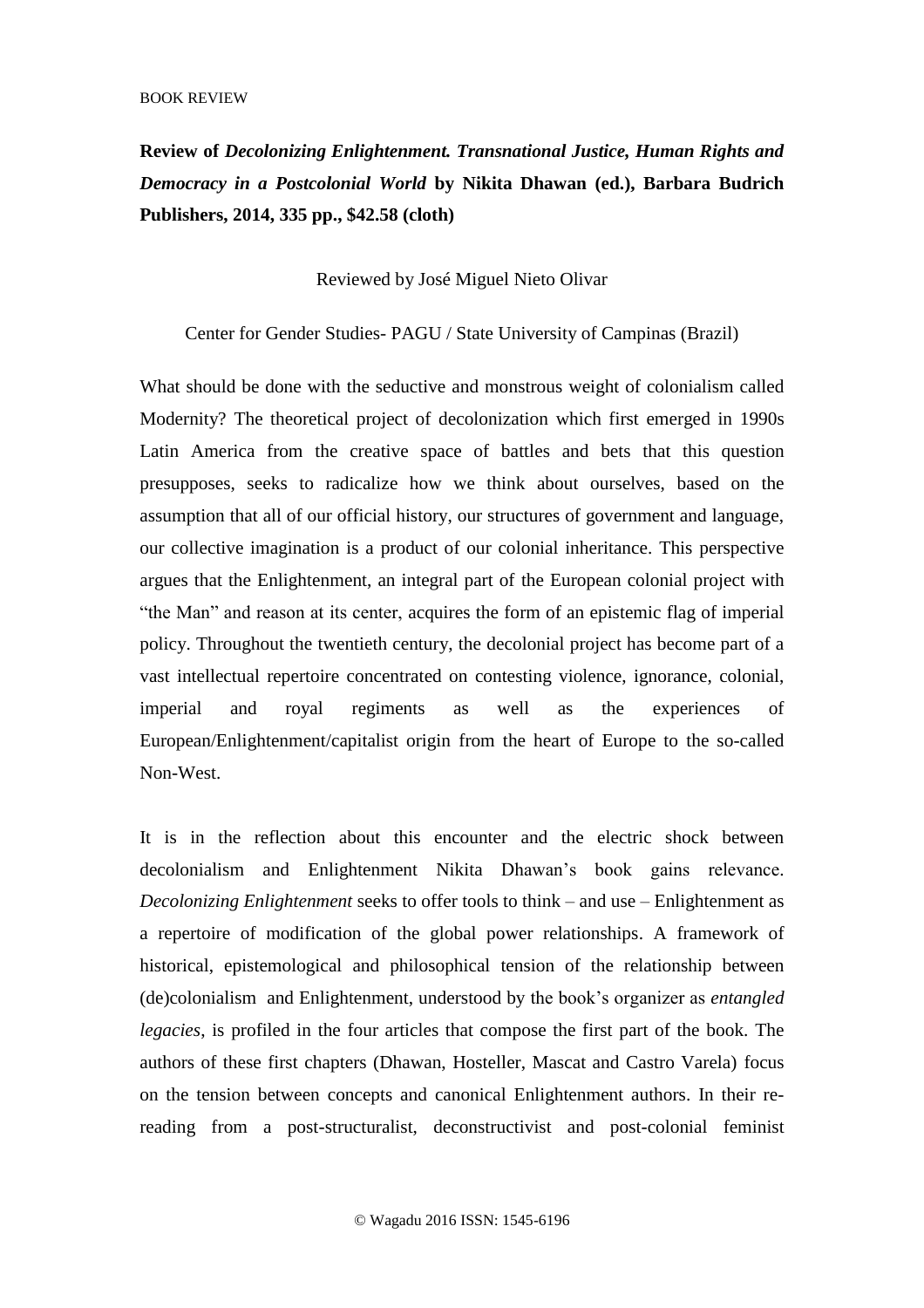**Review of** *Decolonizing Enlightenment. Transnational Justice, Human Rights and Democracy in a Postcolonial World* **by Nikita Dhawan (ed.), Barbara Budrich Publishers, 2014, 335 pp., \$42.58 (cloth)**

Reviewed by José Miguel Nieto Olivar

Center for Gender Studies- PAGU / State University of Campinas (Brazil)

What should be done with the seductive and monstrous weight of colonialism called Modernity? The theoretical project of decolonization which first emerged in 1990s Latin America from the creative space of battles and bets that this question presupposes, seeks to radicalize how we think about ourselves, based on the assumption that all of our official history, our structures of government and language, our collective imagination is a product of our colonial inheritance. This perspective argues that the Enlightenment, an integral part of the European colonial project with "the Man" and reason at its center, acquires the form of an epistemic flag of imperial policy. Throughout the twentieth century, the decolonial project has become part of a vast intellectual repertoire concentrated on contesting violence, ignorance, colonial, imperial and royal regiments as well as the experiences of European/Enlightenment/capitalist origin from the heart of Europe to the so-called Non-West.

It is in the reflection about this encounter and the electric shock between decolonialism and Enlightenment Nikita Dhawan's book gains relevance. *Decolonizing Enlightenment* seeks to offer tools to think – and use – Enlightenment as a repertoire of modification of the global power relationships. A framework of historical, epistemological and philosophical tension of the relationship between (de)colonialism and Enlightenment, understood by the book's organizer as *entangled legacies*, is profiled in the four articles that compose the first part of the book. The authors of these first chapters (Dhawan, Hosteller, Mascat and Castro Varela) focus on the tension between concepts and canonical Enlightenment authors. In their rereading from a post-structuralist, deconstructivist and post-colonial feminist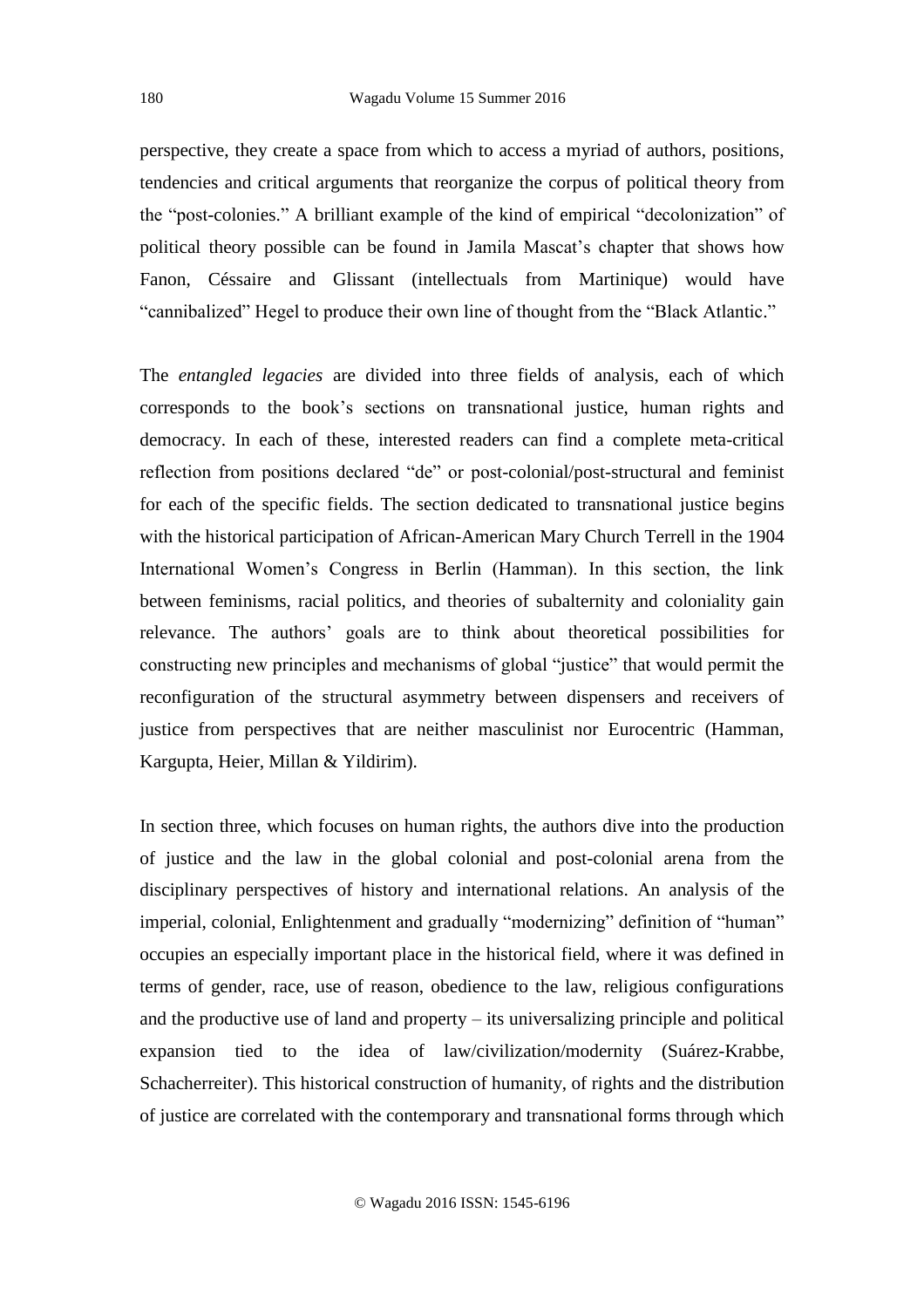perspective, they create a space from which to access a myriad of authors, positions, tendencies and critical arguments that reorganize the corpus of political theory from the "post-colonies." A brilliant example of the kind of empirical "decolonization" of political theory possible can be found in Jamila Mascat's chapter that shows how Fanon, Céssaire and Glissant (intellectuals from Martinique) would have "cannibalized" Hegel to produce their own line of thought from the "Black Atlantic."

The *entangled legacies* are divided into three fields of analysis, each of which corresponds to the book's sections on transnational justice, human rights and democracy. In each of these, interested readers can find a complete meta-critical reflection from positions declared "de" or post-colonial/post-structural and feminist for each of the specific fields. The section dedicated to transnational justice begins with the historical participation of African-American Mary Church Terrell in the 1904 International Women's Congress in Berlin (Hamman). In this section, the link between feminisms, racial politics, and theories of subalternity and coloniality gain relevance. The authors' goals are to think about theoretical possibilities for constructing new principles and mechanisms of global "justice" that would permit the reconfiguration of the structural asymmetry between dispensers and receivers of justice from perspectives that are neither masculinist nor Eurocentric (Hamman, Kargupta, Heier, Millan & Yildirim).

In section three, which focuses on human rights, the authors dive into the production of justice and the law in the global colonial and post-colonial arena from the disciplinary perspectives of history and international relations. An analysis of the imperial, colonial, Enlightenment and gradually "modernizing" definition of "human" occupies an especially important place in the historical field, where it was defined in terms of gender, race, use of reason, obedience to the law, religious configurations and the productive use of land and property – its universalizing principle and political expansion tied to the idea of law/civilization/modernity (Suárez-Krabbe, Schacherreiter). This historical construction of humanity, of rights and the distribution of justice are correlated with the contemporary and transnational forms through which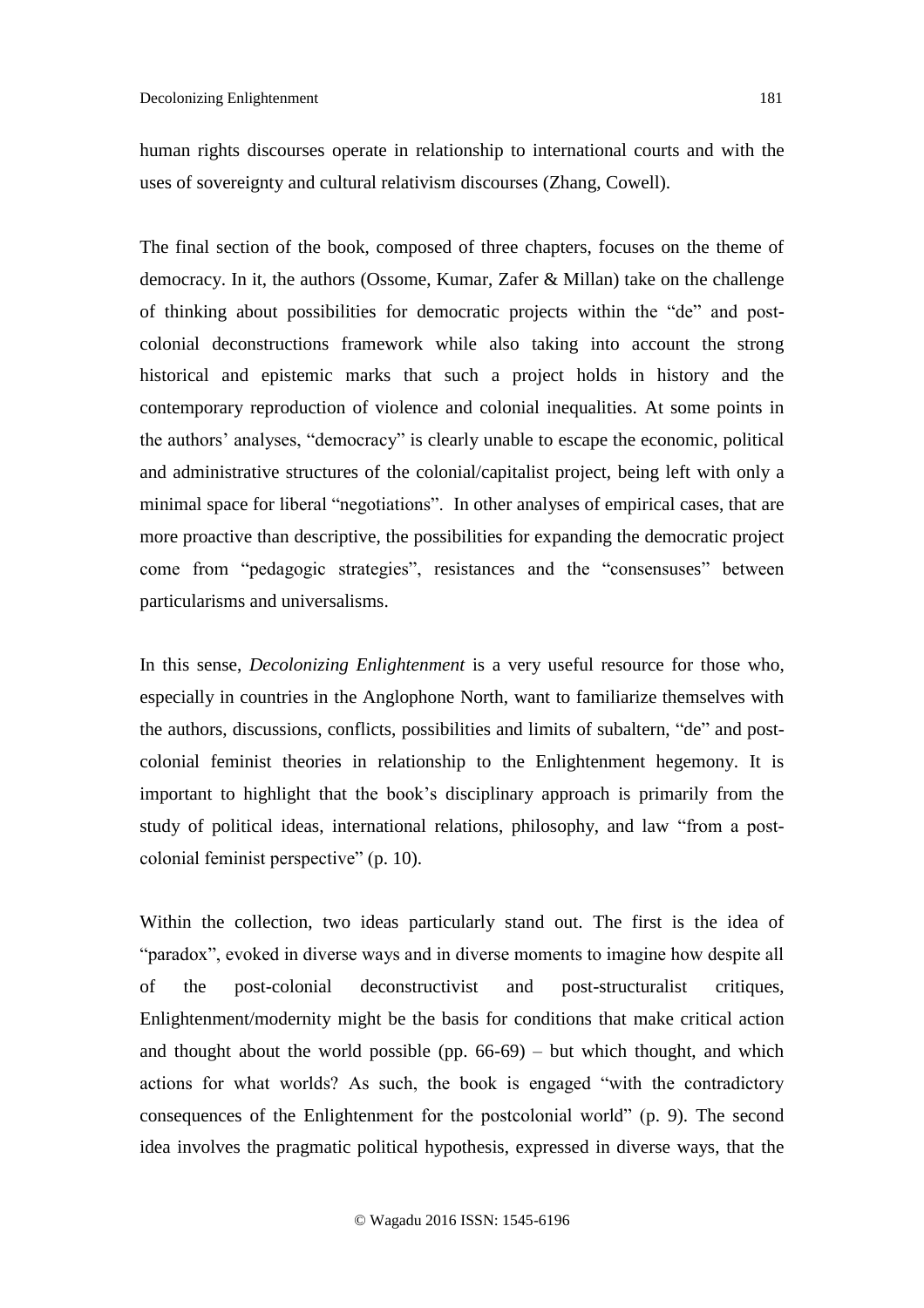human rights discourses operate in relationship to international courts and with the uses of sovereignty and cultural relativism discourses (Zhang, Cowell).

The final section of the book, composed of three chapters, focuses on the theme of democracy. In it, the authors (Ossome, Kumar, Zafer & Millan) take on the challenge of thinking about possibilities for democratic projects within the "de" and postcolonial deconstructions framework while also taking into account the strong historical and epistemic marks that such a project holds in history and the contemporary reproduction of violence and colonial inequalities. At some points in the authors' analyses, "democracy" is clearly unable to escape the economic, political and administrative structures of the colonial/capitalist project, being left with only a minimal space for liberal "negotiations". In other analyses of empirical cases, that are more proactive than descriptive, the possibilities for expanding the democratic project come from "pedagogic strategies", resistances and the "consensuses" between particularisms and universalisms.

In this sense, *Decolonizing Enlightenment* is a very useful resource for those who, especially in countries in the Anglophone North, want to familiarize themselves with the authors, discussions, conflicts, possibilities and limits of subaltern, "de" and postcolonial feminist theories in relationship to the Enlightenment hegemony. It is important to highlight that the book's disciplinary approach is primarily from the study of political ideas, international relations, philosophy, and law "from a postcolonial feminist perspective" (p. 10).

Within the collection, two ideas particularly stand out. The first is the idea of "paradox", evoked in diverse ways and in diverse moments to imagine how despite all of the post-colonial deconstructivist and post-structuralist critiques, Enlightenment/modernity might be the basis for conditions that make critical action and thought about the world possible (pp.  $66-69$ ) – but which thought, and which actions for what worlds? As such, the book is engaged "with the contradictory consequences of the Enlightenment for the postcolonial world" (p. 9). The second idea involves the pragmatic political hypothesis, expressed in diverse ways, that the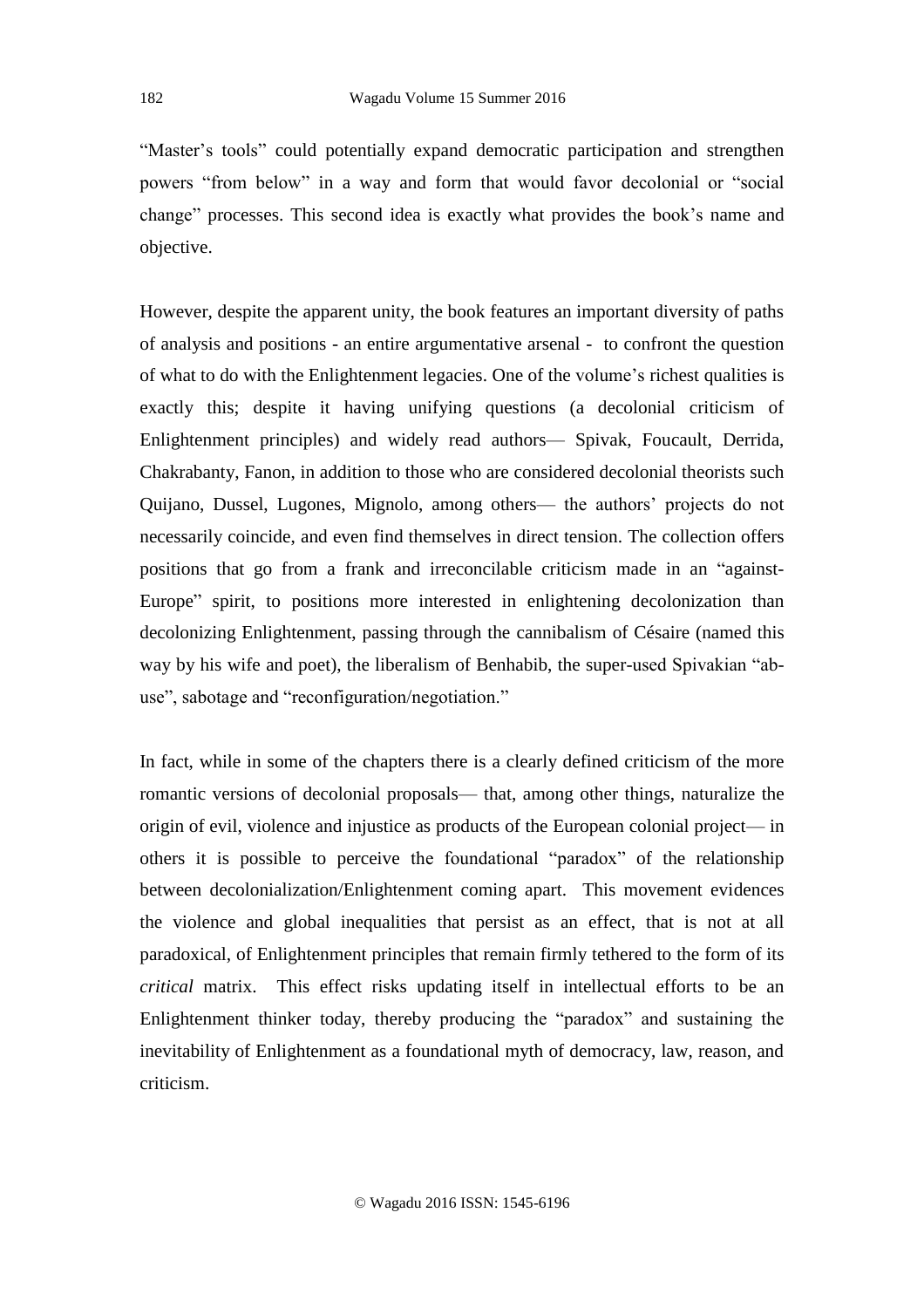"Master's tools" could potentially expand democratic participation and strengthen powers "from below" in a way and form that would favor decolonial or "social change" processes. This second idea is exactly what provides the book's name and objective.

However, despite the apparent unity, the book features an important diversity of paths of analysis and positions - an entire argumentative arsenal - to confront the question of what to do with the Enlightenment legacies. One of the volume's richest qualities is exactly this; despite it having unifying questions (a decolonial criticism of Enlightenment principles) and widely read authors— Spivak, Foucault, Derrida, Chakrabanty, Fanon, in addition to those who are considered decolonial theorists such Quijano, Dussel, Lugones, Mignolo, among others— the authors' projects do not necessarily coincide, and even find themselves in direct tension. The collection offers positions that go from a frank and irreconcilable criticism made in an "against-Europe" spirit, to positions more interested in enlightening decolonization than decolonizing Enlightenment, passing through the cannibalism of Césaire (named this way by his wife and poet), the liberalism of Benhabib, the super-used Spivakian "abuse", sabotage and "reconfiguration/negotiation."

In fact, while in some of the chapters there is a clearly defined criticism of the more romantic versions of decolonial proposals— that, among other things, naturalize the origin of evil, violence and injustice as products of the European colonial project— in others it is possible to perceive the foundational "paradox" of the relationship between decolonialization/Enlightenment coming apart. This movement evidences the violence and global inequalities that persist as an effect, that is not at all paradoxical, of Enlightenment principles that remain firmly tethered to the form of its *critical* matrix. This effect risks updating itself in intellectual efforts to be an Enlightenment thinker today, thereby producing the "paradox" and sustaining the inevitability of Enlightenment as a foundational myth of democracy, law, reason, and criticism.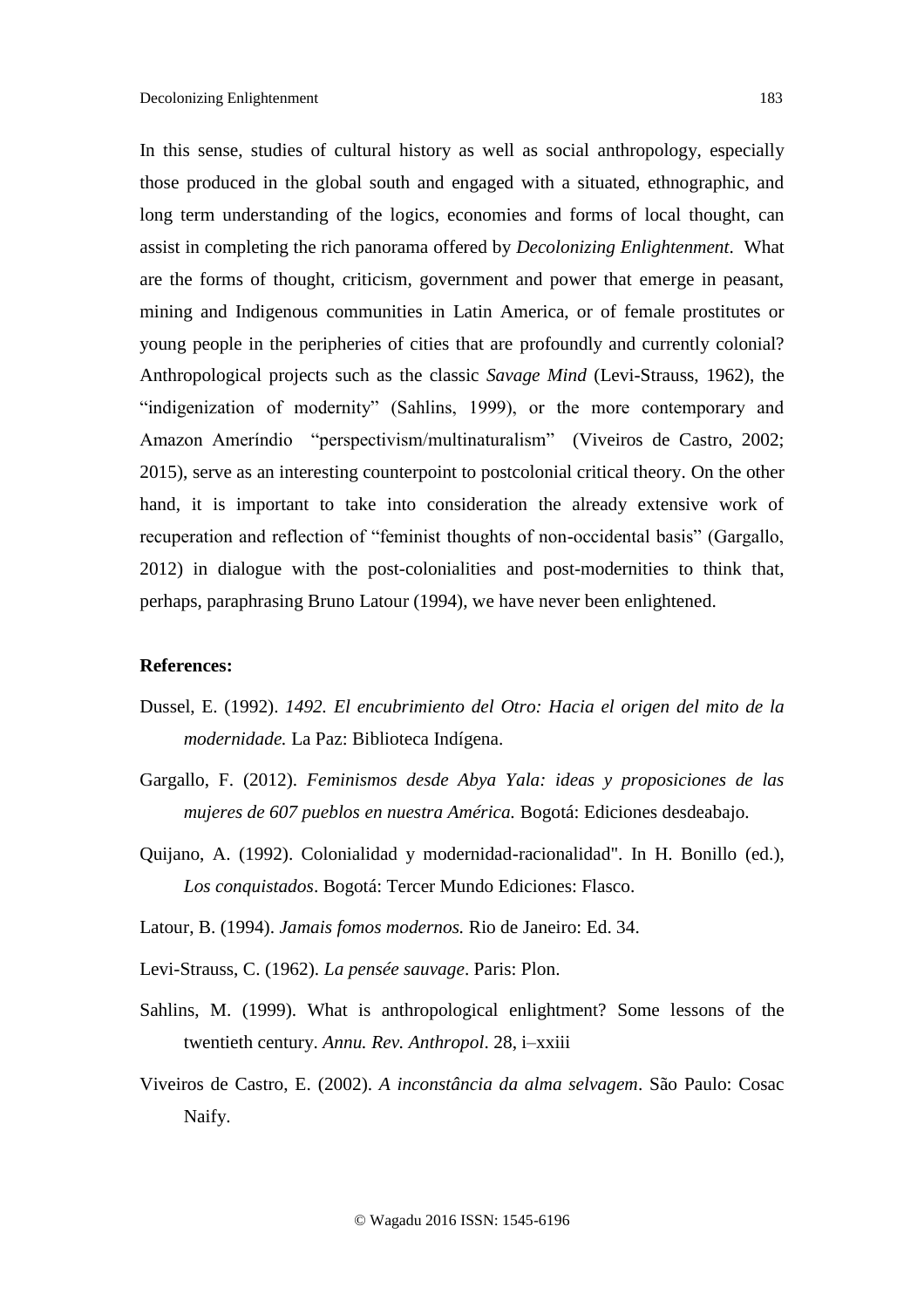In this sense, studies of cultural history as well as social anthropology, especially those produced in the global south and engaged with a situated, ethnographic, and long term understanding of the logics, economies and forms of local thought, can assist in completing the rich panorama offered by *Decolonizing Enlightenment*. What are the forms of thought, criticism, government and power that emerge in peasant, mining and Indigenous communities in Latin America, or of female prostitutes or young people in the peripheries of cities that are profoundly and currently colonial? Anthropological projects such as the classic *Savage Mind* (Levi-Strauss, 1962), the "indigenization of modernity" (Sahlins, 1999), or the more contemporary and Amazon Ameríndio "perspectivism/multinaturalism" (Viveiros de Castro, 2002; 2015), serve as an interesting counterpoint to postcolonial critical theory. On the other hand, it is important to take into consideration the already extensive work of recuperation and reflection of "feminist thoughts of non-occidental basis" (Gargallo, 2012) in dialogue with the post-colonialities and post-modernities to think that, perhaps, paraphrasing Bruno Latour (1994), we have never been enlightened.

## **References:**

- Dussel, E. (1992). *1492. El encubrimiento del Otro: Hacia el origen del mito de la modernidade.* La Paz: Biblioteca Indígena.
- Gargallo, F. (2012). *Feminismos desde Abya Yala: ideas y proposiciones de las mujeres de 607 pueblos en nuestra América.* Bogotá: Ediciones desdeabajo.
- Quijano, A. (1992). Colonialidad y modernidad-racionalidad". In H. Bonillo (ed.), *Los conquistados*. Bogotá: Tercer Mundo Ediciones: Flasco.
- Latour, B. (1994). *Jamais fomos modernos.* Rio de Janeiro: Ed. 34.
- Levi-Strauss, C. (1962). *La pensée sauvage*. Paris: Plon.
- Sahlins, M. (1999). What is anthropological enlightment? Some lessons of the twentieth century. *Annu. Rev. Anthropol*. 28, i–xxiii
- Viveiros de Castro, E. (2002). *A inconstância da alma selvagem*. São Paulo: Cosac Naify.